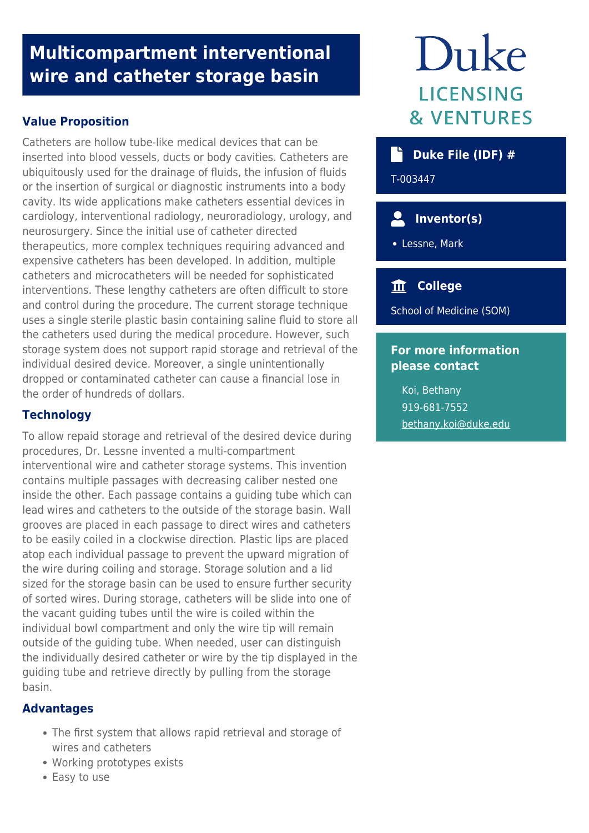# **Multicompartment interventional wire and catheter storage basin**

# **Value Proposition**

Catheters are hollow tube-like medical devices that can be inserted into blood vessels, ducts or body cavities. Catheters are ubiquitously used for the drainage of fluids, the infusion of fluids or the insertion of surgical or diagnostic instruments into a body cavity. Its wide applications make catheters essential devices in cardiology, interventional radiology, neuroradiology, urology, and neurosurgery. Since the initial use of catheter directed therapeutics, more complex techniques requiring advanced and expensive catheters has been developed. In addition, multiple catheters and microcatheters will be needed for sophisticated interventions. These lengthy catheters are often difficult to store and control during the procedure. The current storage technique uses a single sterile plastic basin containing saline fluid to store all the catheters used during the medical procedure. However, such storage system does not support rapid storage and retrieval of the individual desired device. Moreover, a single unintentionally dropped or contaminated catheter can cause a financial lose in the order of hundreds of dollars.

## **Technology**

To allow repaid storage and retrieval of the desired device during procedures, Dr. Lessne invented a multi-compartment interventional wire and catheter storage systems. This invention contains multiple passages with decreasing caliber nested one inside the other. Each passage contains a guiding tube which can lead wires and catheters to the outside of the storage basin. Wall grooves are placed in each passage to direct wires and catheters to be easily coiled in a clockwise direction. Plastic lips are placed atop each individual passage to prevent the upward migration of the wire during coiling and storage. Storage solution and a lid sized for the storage basin can be used to ensure further security of sorted wires. During storage, catheters will be slide into one of the vacant guiding tubes until the wire is coiled within the individual bowl compartment and only the wire tip will remain outside of the guiding tube. When needed, user can distinguish the individually desired catheter or wire by the tip displayed in the guiding tube and retrieve directly by pulling from the storage basin.

### **Advantages**

- The first system that allows rapid retrieval and storage of wires and catheters
- Working prototypes exists
- Easy to use

# Duke LICENSING **& VENTURES**

| $\dot{ }$ Duke File (IDF) # |  |  |
|-----------------------------|--|--|
|                             |  |  |

T-003447

# **Inventor(s)**

Lessne, Mark

# **College**

School of Medicine (SOM)

#### **For more information please contact**

Koi, Bethany 919-681-7552 [bethany.koi@duke.edu](mailto:bethany.koi@duke.edu)